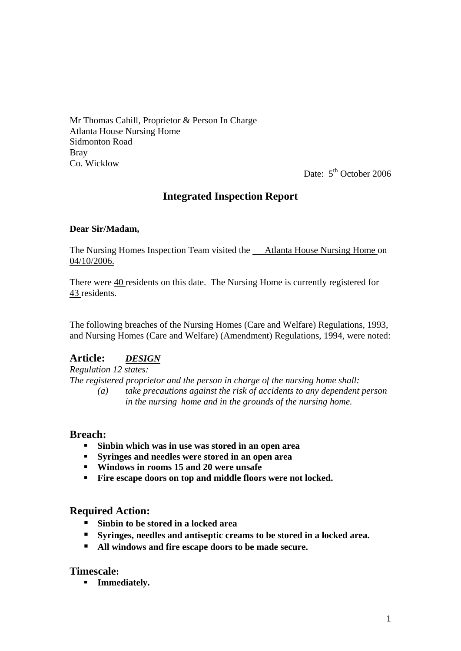Mr Thomas Cahill, Proprietor & Person In Charge Atlanta House Nursing Home Sidmonton Road Bray Co. Wicklow

Date:  $5<sup>th</sup>$  October 2006

## **Integrated Inspection Report**

#### **Dear Sir/Madam,**

The Nursing Homes Inspection Team visited the Atlanta House Nursing Home on 04/10/2006.

There were 40 residents on this date. The Nursing Home is currently registered for 43 residents.

The following breaches of the Nursing Homes (Care and Welfare) Regulations, 1993, and Nursing Homes (Care and Welfare) (Amendment) Regulations, 1994, were noted:

### **Article:** *DESIGN*

*Regulation 12 states:* 

*The registered proprietor and the person in charge of the nursing home shall:* 

 *(a) take precautions against the risk of accidents to any dependent person in the nursing home and in the grounds of the nursing home.* 

#### **Breach:**

- **Sinbin which was in use was stored in an open area**
- **Syringes and needles were stored in an open area**
- **Windows in rooms 15 and 20 were unsafe**
- **Fire escape doors on top and middle floors were not locked.**

### **Required Action:**

- **Sinbin to be stored in a locked area**
- **Syringes, needles and antiseptic creams to be stored in a locked area.**
- **All windows and fire escape doors to be made secure.**

### **Timescale:**

**Figure 1 Immediately.**